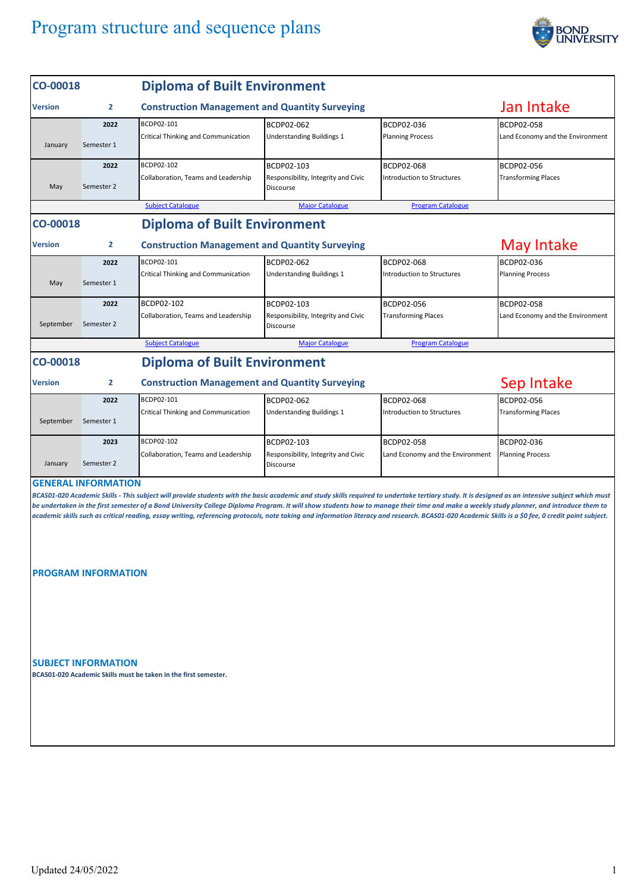## Program structure and sequence plans



| CO-00018                         |                                                          | <b>Diploma of Built Environment</b>                                                                                                                                                                                                                                                                                                                                                                                                                                                                                                                                                                |                                                                       |                                                        |                                                     |
|----------------------------------|----------------------------------------------------------|----------------------------------------------------------------------------------------------------------------------------------------------------------------------------------------------------------------------------------------------------------------------------------------------------------------------------------------------------------------------------------------------------------------------------------------------------------------------------------------------------------------------------------------------------------------------------------------------------|-----------------------------------------------------------------------|--------------------------------------------------------|-----------------------------------------------------|
| $\overline{2}$<br><b>Version</b> |                                                          | <b>Construction Management and Quantity Surveying</b>                                                                                                                                                                                                                                                                                                                                                                                                                                                                                                                                              | Jan Intake                                                            |                                                        |                                                     |
| January                          | 2022<br>Semester 1                                       | BCDP02-101<br>Critical Thinking and Communication                                                                                                                                                                                                                                                                                                                                                                                                                                                                                                                                                  | BCDP02-062<br><b>Understanding Buildings 1</b>                        | BCDP02-036<br><b>Planning Process</b>                  | BCDP02-058<br>Land Economy and the Environment      |
| May                              | 2022<br>Semester 2                                       | BCDP02-102<br>Collaboration, Teams and Leadership                                                                                                                                                                                                                                                                                                                                                                                                                                                                                                                                                  | BCDP02-103<br>Responsibility, Integrity and Civic<br><b>Discourse</b> | BCDP02-068<br>Introduction to Structures               | BCDP02-056<br><b>Transforming Places</b>            |
|                                  |                                                          | <b>Subject Catalogue</b>                                                                                                                                                                                                                                                                                                                                                                                                                                                                                                                                                                           | <b>Major Catalogue</b>                                                | <b>Program Catalogue</b>                               |                                                     |
| CO-00018                         |                                                          | <b>Diploma of Built Environment</b>                                                                                                                                                                                                                                                                                                                                                                                                                                                                                                                                                                |                                                                       |                                                        |                                                     |
| <b>Version</b>                   | $\overline{2}$                                           | <b>Construction Management and Quantity Surveying</b>                                                                                                                                                                                                                                                                                                                                                                                                                                                                                                                                              | May Intake                                                            |                                                        |                                                     |
| May                              | 2022<br>Semester 1<br>2022                               | BCDP02-101<br>Critical Thinking and Communication<br>BCDP02-102                                                                                                                                                                                                                                                                                                                                                                                                                                                                                                                                    | BCDP02-062<br><b>Understanding Buildings 1</b><br>BCDP02-103          | BCDP02-068<br>Introduction to Structures<br>BCDP02-056 | BCDP02-036<br><b>Planning Process</b><br>BCDP02-058 |
| September                        | Semester 2                                               | Collaboration, Teams and Leadership                                                                                                                                                                                                                                                                                                                                                                                                                                                                                                                                                                | Responsibility, Integrity and Civic<br><b>Discourse</b>               | <b>Transforming Places</b>                             | Land Economy and the Environment                    |
|                                  |                                                          | <b>Subject Catalogue</b>                                                                                                                                                                                                                                                                                                                                                                                                                                                                                                                                                                           | <b>Major Catalogue</b>                                                | <b>Program Catalogue</b>                               |                                                     |
| CO-00018                         |                                                          | <b>Diploma of Built Environment</b>                                                                                                                                                                                                                                                                                                                                                                                                                                                                                                                                                                |                                                                       |                                                        |                                                     |
| <b>Version</b>                   | $\overline{2}$                                           | <b>Construction Management and Quantity Surveying</b>                                                                                                                                                                                                                                                                                                                                                                                                                                                                                                                                              | Sep Intake                                                            |                                                        |                                                     |
|                                  | 2022                                                     | BCDP02-101                                                                                                                                                                                                                                                                                                                                                                                                                                                                                                                                                                                         | BCDP02-062                                                            | BCDP02-068                                             | BCDP02-056                                          |
| September                        | Semester 1                                               | Critical Thinking and Communication                                                                                                                                                                                                                                                                                                                                                                                                                                                                                                                                                                | <b>Understanding Buildings 1</b>                                      | Introduction to Structures                             | <b>Transforming Places</b>                          |
| January                          | 2023<br>Semester 2                                       | BCDP02-102<br>Collaboration, Teams and Leadership                                                                                                                                                                                                                                                                                                                                                                                                                                                                                                                                                  | BCDP02-103<br>Responsibility, Integrity and Civic<br>Discourse        | BCDP02-058<br>Land Economy and the Environment         | BCDP02-036<br><b>Planning Process</b>               |
|                                  | <b>GENERAL INFORMATION</b>                               |                                                                                                                                                                                                                                                                                                                                                                                                                                                                                                                                                                                                    |                                                                       |                                                        |                                                     |
|                                  |                                                          | BCAS01-020 Academic Skills - This subject will provide students with the basic academic and study skills required to undertake tertiary study. It is designed as an intensive subject which must<br>be undertaken in the first semester of a Bond University College Diploma Program. It will show students how to manage their time and make a weekly study planner, and introduce them to<br>academic skills such as critical reading, essay writing, referencing protocols, note taking and information literacy and research. BCAS01-020 Academic Skills is a \$0 fee, 0 credit point subject. |                                                                       |                                                        |                                                     |
|                                  | <b>PROGRAM INFORMATION</b><br><b>SUBJECT INFORMATION</b> |                                                                                                                                                                                                                                                                                                                                                                                                                                                                                                                                                                                                    |                                                                       |                                                        |                                                     |
|                                  |                                                          | BCAS01-020 Academic Skills must be taken in the first semester.                                                                                                                                                                                                                                                                                                                                                                                                                                                                                                                                    |                                                                       |                                                        |                                                     |